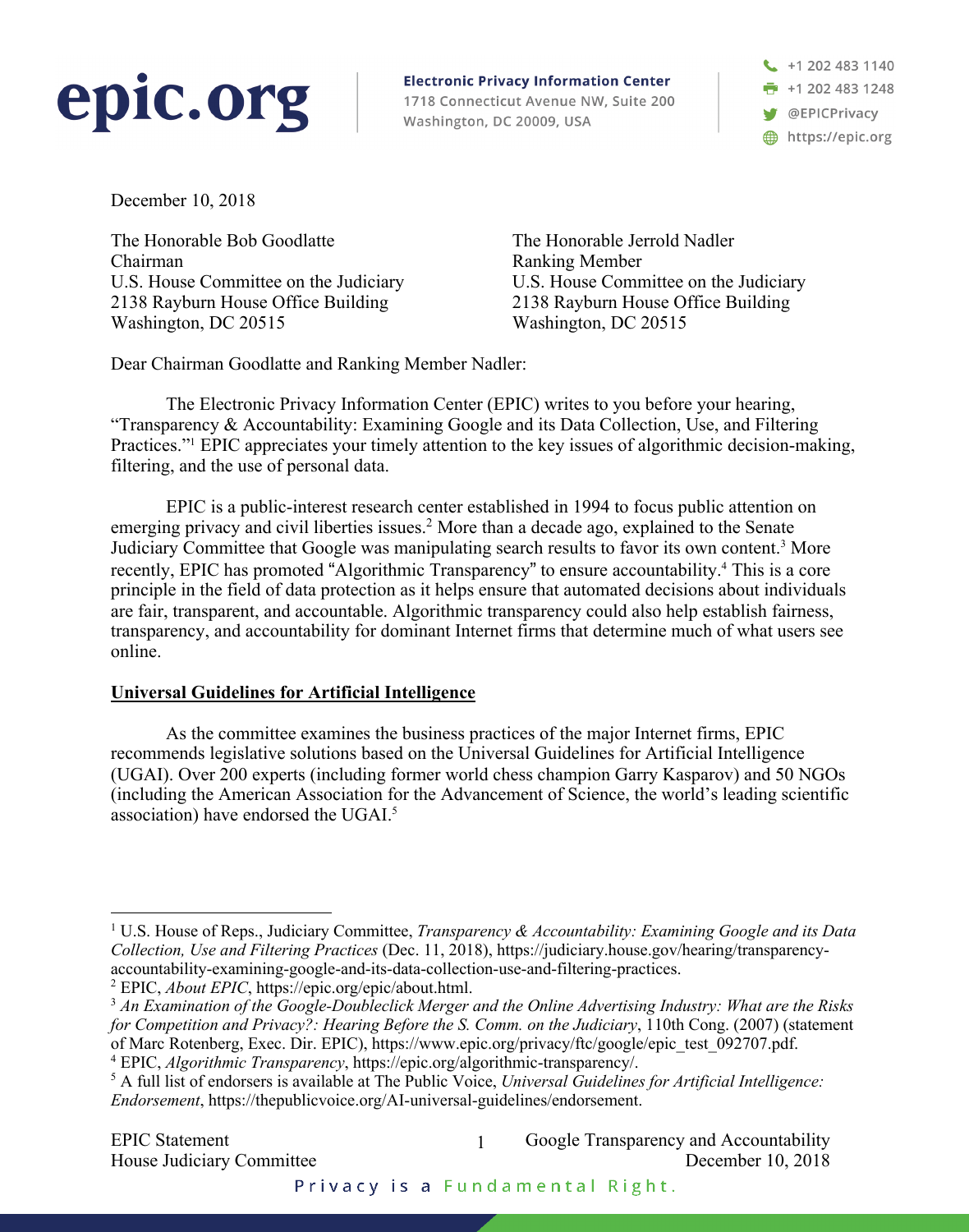# epic.org

**Electronic Privacy Information Center** 1718 Connecticut Avenue NW, Suite 200 Washington, DC 20009, USA

 $\leftarrow$  +1 202 483 1140 **F** +1 202 483 1248 **S** @EPICPrivacy https://epic.org

December 10, 2018

The Honorable Bob Goodlatte Chairman U.S. House Committee on the Judiciary 2138 Rayburn House Office Building Washington, DC 20515

The Honorable Jerrold Nadler Ranking Member U.S. House Committee on the Judiciary 2138 Rayburn House Office Building Washington, DC 20515

Dear Chairman Goodlatte and Ranking Member Nadler:

The Electronic Privacy Information Center (EPIC) writes to you before your hearing, "Transparency & Accountability: Examining Google and its Data Collection, Use, and Filtering Practices."<sup>1</sup> EPIC appreciates your timely attention to the key issues of algorithmic decision-making, filtering, and the use of personal data.

EPIC is a public-interest research center established in 1994 to focus public attention on emerging privacy and civil liberties issues.<sup>2</sup> More than a decade ago, explained to the Senate Judiciary Committee that Google was manipulating search results to favor its own content. <sup>3</sup> More recently, EPIC has promoted "Algorithmic Transparency" to ensure accountability. <sup>4</sup> This is a core principle in the field of data protection as it helps ensure that automated decisions about individuals are fair, transparent, and accountable. Algorithmic transparency could also help establish fairness, transparency, and accountability for dominant Internet firms that determine much of what users see online.

## **Universal Guidelines for Artificial Intelligence**

As the committee examines the business practices of the major Internet firms, EPIC recommends legislative solutions based on the Universal Guidelines for Artificial Intelligence (UGAI). Over 200 experts (including former world chess champion Garry Kasparov) and 50 NGOs (including the American Association for the Advancement of Science, the world's leading scientific association) have endorsed the UGAI.<sup>5</sup>

 <sup>1</sup> U.S. House of Reps., Judiciary Committee, *Transparency & Accountability: Examining Google and its Data Collection, Use and Filtering Practices* (Dec. 11, 2018), https://judiciary.house.gov/hearing/transparencyaccountability-examining-google-and-its-data-collection-use-and-filtering-practices.

<sup>2</sup> EPIC, *About EPIC*, https://epic.org/epic/about.html.

<sup>3</sup> *An Examination of the Google-Doubleclick Merger and the Online Advertising Industry: What are the Risks for Competition and Privacy?: Hearing Before the S. Comm. on the Judiciary*, 110th Cong. (2007) (statement of Marc Rotenberg, Exec. Dir. EPIC), https://www.epic.org/privacy/ftc/google/epic\_test\_092707.pdf. <sup>4</sup> EPIC, *Algorithmic Transparency*, https://epic.org/algorithmic-transparency/.

<sup>5</sup> A full list of endorsers is available at The Public Voice, *Universal Guidelines for Artificial Intelligence: Endorsement*, https://thepublicvoice.org/AI-universal-guidelines/endorsement.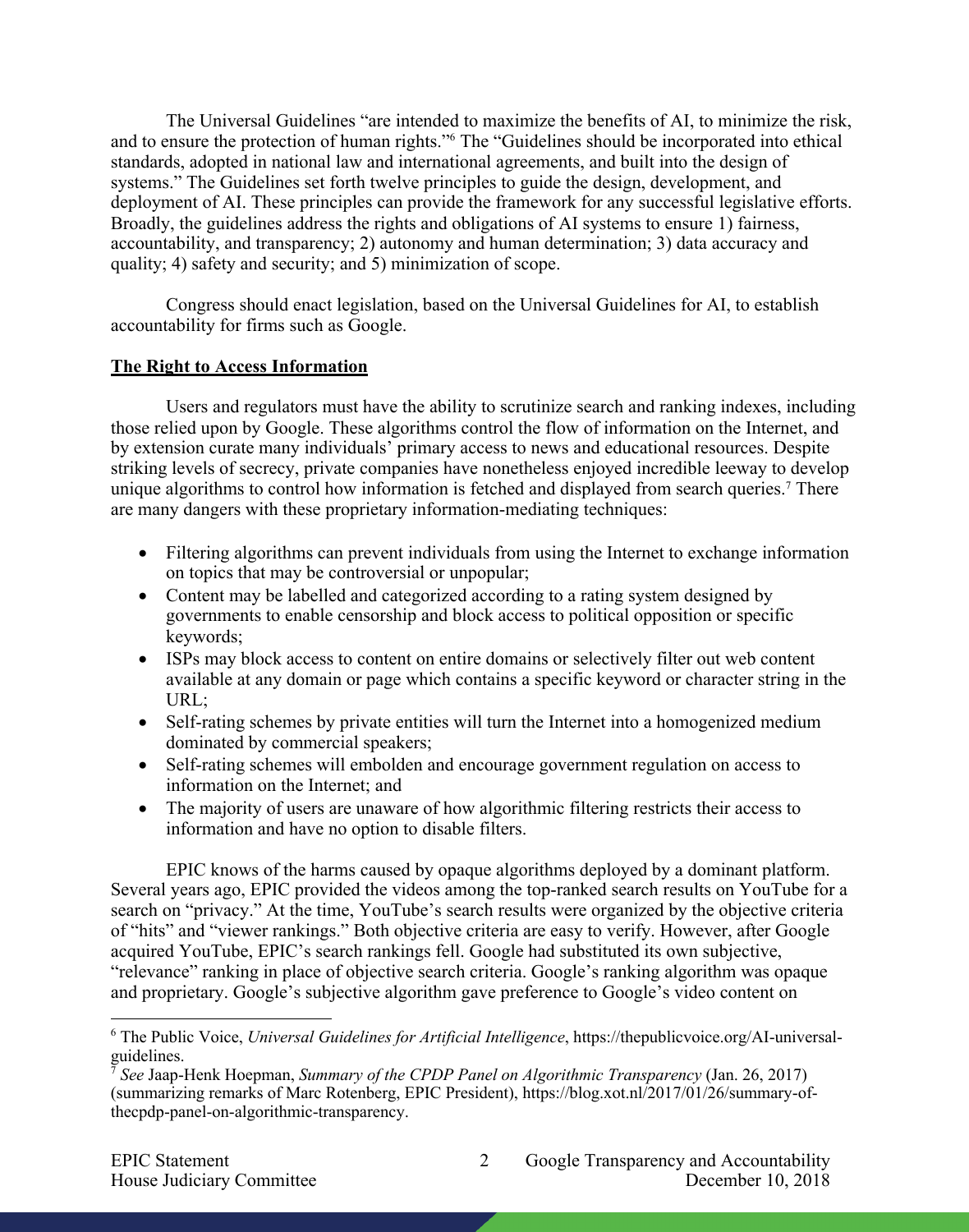The Universal Guidelines "are intended to maximize the benefits of AI, to minimize the risk, and to ensure the protection of human rights."6 The "Guidelines should be incorporated into ethical standards, adopted in national law and international agreements, and built into the design of systems." The Guidelines set forth twelve principles to guide the design, development, and deployment of AI. These principles can provide the framework for any successful legislative efforts. Broadly, the guidelines address the rights and obligations of AI systems to ensure 1) fairness, accountability, and transparency; 2) autonomy and human determination; 3) data accuracy and quality; 4) safety and security; and 5) minimization of scope.

Congress should enact legislation, based on the Universal Guidelines for AI, to establish accountability for firms such as Google.

#### **The Right to Access Information**

Users and regulators must have the ability to scrutinize search and ranking indexes, including those relied upon by Google. These algorithms control the flow of information on the Internet, and by extension curate many individuals' primary access to news and educational resources. Despite striking levels of secrecy, private companies have nonetheless enjoyed incredible leeway to develop unique algorithms to control how information is fetched and displayed from search queries.<sup>7</sup> There are many dangers with these proprietary information-mediating techniques:

- Filtering algorithms can prevent individuals from using the Internet to exchange information on topics that may be controversial or unpopular;
- Content may be labelled and categorized according to a rating system designed by governments to enable censorship and block access to political opposition or specific keywords;
- ISPs may block access to content on entire domains or selectively filter out web content available at any domain or page which contains a specific keyword or character string in the URL;
- Self-rating schemes by private entities will turn the Internet into a homogenized medium dominated by commercial speakers;
- Self-rating schemes will embolden and encourage government regulation on access to information on the Internet; and
- The majority of users are unaware of how algorithmic filtering restricts their access to information and have no option to disable filters.

EPIC knows of the harms caused by opaque algorithms deployed by a dominant platform. Several years ago, EPIC provided the videos among the top-ranked search results on YouTube for a search on "privacy." At the time, YouTube's search results were organized by the objective criteria of "hits" and "viewer rankings." Both objective criteria are easy to verify. However, after Google acquired YouTube, EPIC's search rankings fell. Google had substituted its own subjective, "relevance" ranking in place of objective search criteria. Google's ranking algorithm was opaque and proprietary. Google's subjective algorithm gave preference to Google's video content on

 <sup>6</sup> The Public Voice, *Universal Guidelines for Artificial Intelligence*, https://thepublicvoice.org/AI-universalguidelines.

<sup>7</sup> *See* Jaap-Henk Hoepman, *Summary of the CPDP Panel on Algorithmic Transparency* (Jan. 26, 2017) (summarizing remarks of Marc Rotenberg, EPIC President), https://blog.xot.nl/2017/01/26/summary-ofthecpdp-panel-on-algorithmic-transparency.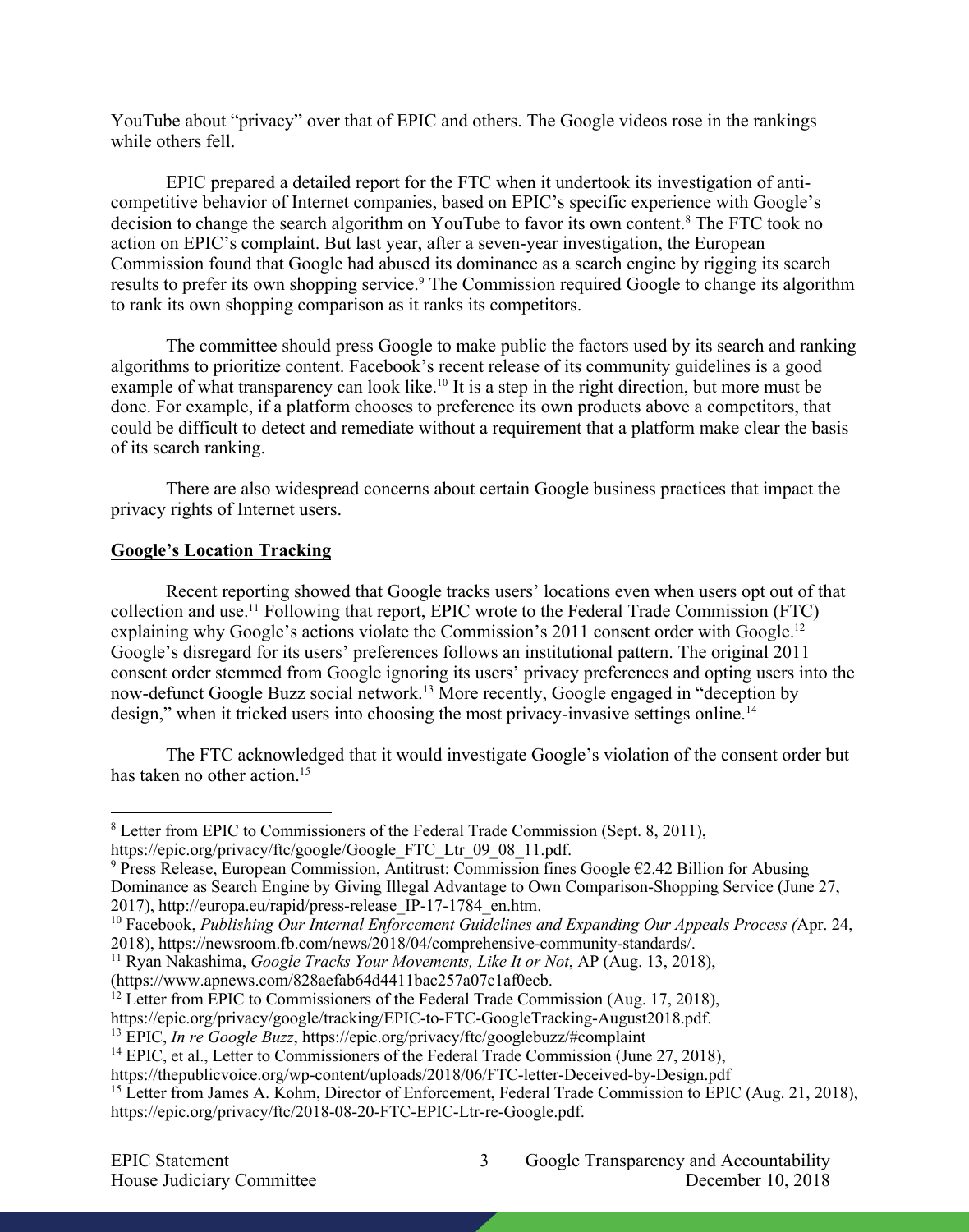YouTube about "privacy" over that of EPIC and others. The Google videos rose in the rankings while others fell.

EPIC prepared a detailed report for the FTC when it undertook its investigation of anticompetitive behavior of Internet companies, based on EPIC's specific experience with Google's decision to change the search algorithm on YouTube to favor its own content. <sup>8</sup> The FTC took no action on EPIC's complaint. But last year, after a seven-year investigation, the European Commission found that Google had abused its dominance as a search engine by rigging its search results to prefer its own shopping service.<sup>9</sup> The Commission required Google to change its algorithm to rank its own shopping comparison as it ranks its competitors.

The committee should press Google to make public the factors used by its search and ranking algorithms to prioritize content. Facebook's recent release of its community guidelines is a good example of what transparency can look like.<sup>10</sup> It is a step in the right direction, but more must be done. For example, if a platform chooses to preference its own products above a competitors, that could be difficult to detect and remediate without a requirement that a platform make clear the basis of its search ranking.

There are also widespread concerns about certain Google business practices that impact the privacy rights of Internet users.

### **Google's Location Tracking**

Recent reporting showed that Google tracks users' locations even when users opt out of that collection and use.11 Following that report, EPIC wrote to the Federal Trade Commission (FTC) explaining why Google's actions violate the Commission's 2011 consent order with Google.<sup>12</sup> Google's disregard for its users' preferences follows an institutional pattern. The original 2011 consent order stemmed from Google ignoring its users' privacy preferences and opting users into the now-defunct Google Buzz social network.13 More recently, Google engaged in "deception by design," when it tricked users into choosing the most privacy-invasive settings online.<sup>14</sup>

The FTC acknowledged that it would investigate Google's violation of the consent order but has taken no other action.<sup>15</sup>

<sup>9</sup> Press Release, European Commission, Antitrust: Commission fines Google €2.42 Billion for Abusing Dominance as Search Engine by Giving Illegal Advantage to Own Comparison-Shopping Service (June 27, 2017), http://europa.eu/rapid/press-release\_IP-17-1784\_en.htm.

 <sup>8</sup> Letter from EPIC to Commissioners of the Federal Trade Commission (Sept. 8, 2011), https://epic.org/privacy/ftc/google/Google\_FTC\_Ltr\_09\_08\_11.pdf.

<sup>10</sup> Facebook, *Publishing Our Internal Enforcement Guidelines and Expanding Our Appeals Process (*Apr. 24, 2018), https://newsroom.fb.com/news/2018/04/comprehensive-community-standards/.

<sup>11</sup> Ryan Nakashima, *Google Tracks Your Movements, Like It or Not*, AP (Aug. 13, 2018), (https://www.apnews.com/828aefab64d4411bac257a07c1af0ecb.

<sup>&</sup>lt;sup>12</sup> Letter from EPIC to Commissioners of the Federal Trade Commission (Aug. 17, 2018), https://epic.org/privacy/google/tracking/EPIC-to-FTC-GoogleTracking-August2018.pdf.

<sup>&</sup>lt;sup>13</sup> EPIC, *In re Google Buzz*, https://epic.org/privacy/ftc/googlebuzz/#complaint

<sup>&</sup>lt;sup>14</sup> EPIC, et al., Letter to Commissioners of the Federal Trade Commission (June 27, 2018),

https://thepublicvoice.org/wp-content/uploads/2018/06/FTC-letter-Deceived-by-Design.pdf

<sup>&</sup>lt;sup>15</sup> Letter from James A. Kohm, Director of Enforcement, Federal Trade Commission to EPIC (Aug. 21, 2018), https://epic.org/privacy/ftc/2018-08-20-FTC-EPIC-Ltr-re-Google.pdf.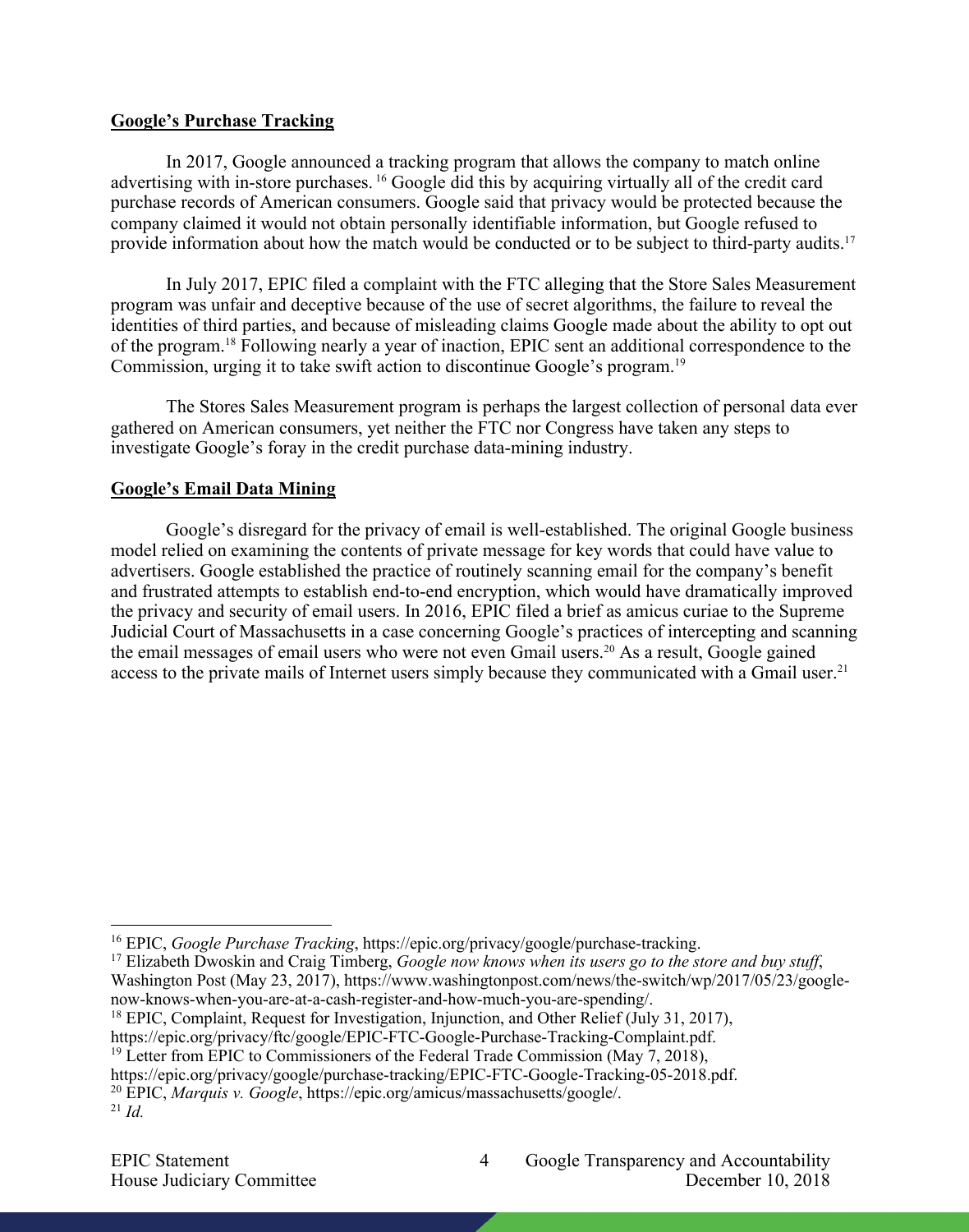### **Google's Purchase Tracking**

In 2017, Google announced a tracking program that allows the company to match online advertising with in-store purchases. <sup>16</sup> Google did this by acquiring virtually all of the credit card purchase records of American consumers. Google said that privacy would be protected because the company claimed it would not obtain personally identifiable information, but Google refused to provide information about how the match would be conducted or to be subject to third-party audits.<sup>17</sup>

In July 2017, EPIC filed a complaint with the FTC alleging that the Store Sales Measurement program was unfair and deceptive because of the use of secret algorithms, the failure to reveal the identities of third parties, and because of misleading claims Google made about the ability to opt out of the program.18 Following nearly a year of inaction, EPIC sent an additional correspondence to the Commission, urging it to take swift action to discontinue Google's program.19

The Stores Sales Measurement program is perhaps the largest collection of personal data ever gathered on American consumers, yet neither the FTC nor Congress have taken any steps to investigate Google's foray in the credit purchase data-mining industry.

### **Google's Email Data Mining**

Google's disregard for the privacy of email is well-established. The original Google business model relied on examining the contents of private message for key words that could have value to advertisers. Google established the practice of routinely scanning email for the company's benefit and frustrated attempts to establish end-to-end encryption, which would have dramatically improved the privacy and security of email users. In 2016, EPIC filed a brief as amicus curiae to the Supreme Judicial Court of Massachusetts in a case concerning Google's practices of intercepting and scanning the email messages of email users who were not even Gmail users. <sup>20</sup> As a result, Google gained access to the private mails of Internet users simply because they communicated with a Gmail user.<sup>21</sup>

- https://epic.org/privacy/ftc/google/EPIC-FTC-Google-Purchase-Tracking-Complaint.pdf. 19 Letter from EPIC to Commissioners of the Federal Trade Commission (May 7, 2018),
- 

 <sup>16</sup> EPIC, *Google Purchase Tracking*, https://epic.org/privacy/google/purchase-tracking.

<sup>&</sup>lt;sup>17</sup> Elizabeth Dwoskin and Craig Timberg, *Google now knows when its users go to the store and buy stuff*, Washington Post (May 23, 2017), https://www.washingtonpost.com/news/the-switch/wp/2017/05/23/googlenow-knows-when-you-are-at-a-cash-register-and-how-much-you-are-spending/.

<sup>&</sup>lt;sup>18</sup> EPIC, Complaint, Request for Investigation, Injunction, and Other Relief (July 31, 2017),

https://epic.org/privacy/google/purchase-tracking/EPIC-FTC-Google-Tracking-05-2018.pdf. 20 EPIC, *Marquis v. Google*, https://epic.org/amicus/massachusetts/google/.

 $^{21}$  *Id.*